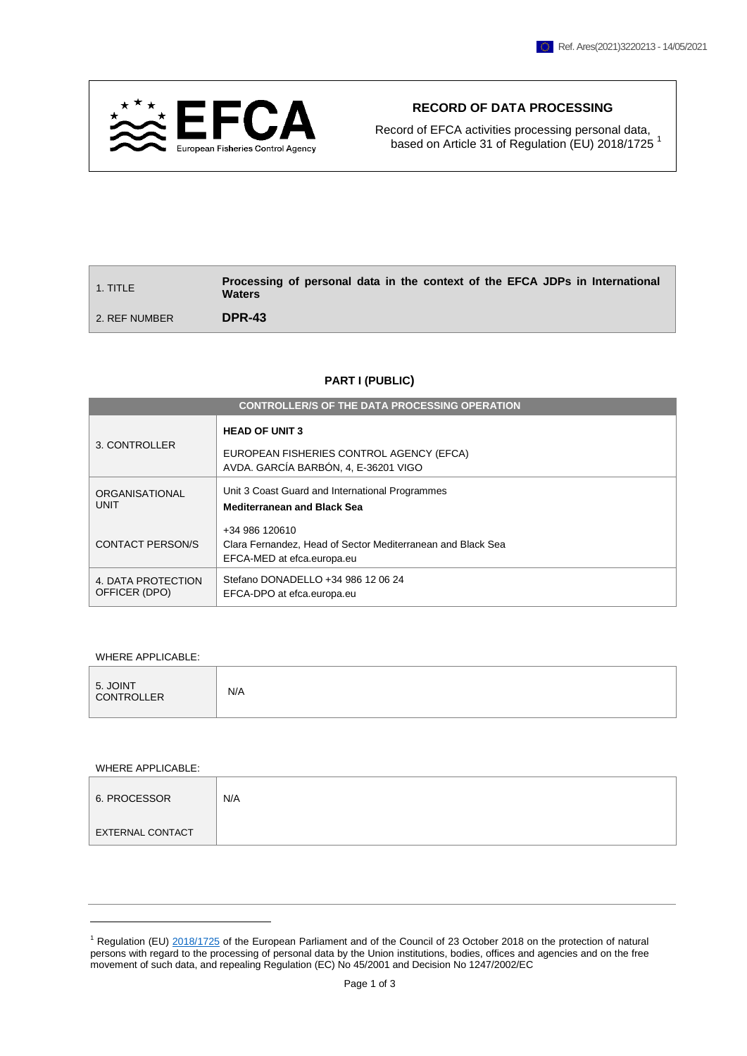

# **RECORD OF DATA PROCESSING**

Record of EFCA activities processing personal data, based on Article 31 of Regulation (EU) 2018/1725<sup>1</sup>

| 1. TITLE      | Processing of personal data in the context of the EFCA JDPs in International<br><b>Waters</b> |
|---------------|-----------------------------------------------------------------------------------------------|
| 2. REF NUMBER | DPR-43                                                                                        |

# **PART I (PUBLIC)**

| <b>CONTROLLER/S OF THE DATA PROCESSING OPERATION</b> |                                                                                                             |  |  |  |
|------------------------------------------------------|-------------------------------------------------------------------------------------------------------------|--|--|--|
| 3. CONTROLLER                                        | <b>HEAD OF UNIT 3</b><br>EUROPEAN FISHERIES CONTROL AGENCY (EFCA)<br>AVDA. GARCÍA BARBÓN, 4, E-36201 VIGO   |  |  |  |
| ORGANISATIONAL<br>UNIT                               | Unit 3 Coast Guard and International Programmes<br><b>Mediterranean and Black Sea</b>                       |  |  |  |
| <b>CONTACT PERSON/S</b>                              | +34 986 120610<br>Clara Fernandez, Head of Sector Mediterranean and Black Sea<br>EFCA-MED at efca.europa.eu |  |  |  |
| 4. DATA PROTECTION<br>OFFICER (DPO)                  | Stefano DONADELLO +34 986 12 06 24<br>EFCA-DPO at efca.europa.eu                                            |  |  |  |

WHERE APPLICABLE:

|--|

WHERE APPLICABLE:

1

| 6. PROCESSOR     | N/A |
|------------------|-----|
| EXTERNAL CONTACT |     |

 $1$  Regulation (EU)  $2018/1725$  of the European Parliament and of the Council of 23 October 2018 on the protection of natural persons with regard to the processing of personal data by the Union institutions, bodies, offices and agencies and on the free movement of such data, and repealing Regulation (EC) No 45/2001 and Decision No 1247/2002/EC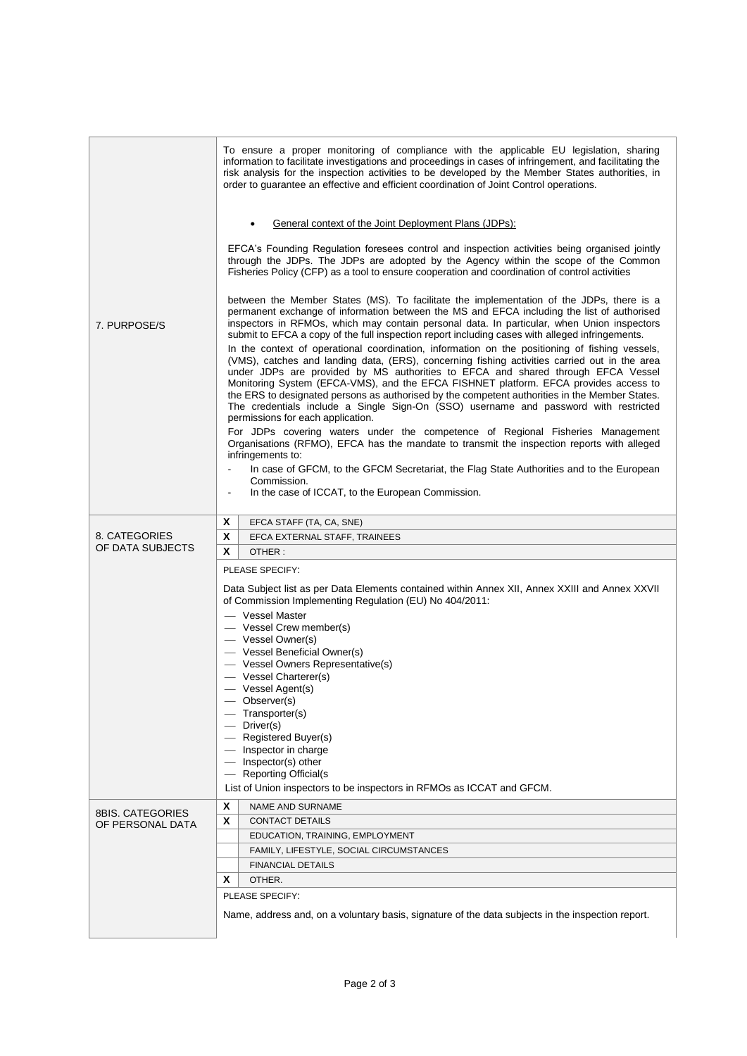| 7. PURPOSE/S                         | To ensure a proper monitoring of compliance with the applicable EU legislation, sharing<br>information to facilitate investigations and proceedings in cases of infringement, and facilitating the<br>risk analysis for the inspection activities to be developed by the Member States authorities, in<br>order to guarantee an effective and efficient coordination of Joint Control operations.<br>General context of the Joint Deployment Plans (JDPs):<br>EFCA's Founding Regulation foresees control and inspection activities being organised jointly<br>through the JDPs. The JDPs are adopted by the Agency within the scope of the Common<br>Fisheries Policy (CFP) as a tool to ensure cooperation and coordination of control activities<br>between the Member States (MS). To facilitate the implementation of the JDPs, there is a<br>permanent exchange of information between the MS and EFCA including the list of authorised<br>inspectors in RFMOs, which may contain personal data. In particular, when Union inspectors |  |  |  |
|--------------------------------------|---------------------------------------------------------------------------------------------------------------------------------------------------------------------------------------------------------------------------------------------------------------------------------------------------------------------------------------------------------------------------------------------------------------------------------------------------------------------------------------------------------------------------------------------------------------------------------------------------------------------------------------------------------------------------------------------------------------------------------------------------------------------------------------------------------------------------------------------------------------------------------------------------------------------------------------------------------------------------------------------------------------------------------------------|--|--|--|
|                                      | submit to EFCA a copy of the full inspection report including cases with alleged infringements.<br>In the context of operational coordination, information on the positioning of fishing vessels,<br>(VMS), catches and landing data, (ERS), concerning fishing activities carried out in the area<br>under JDPs are provided by MS authorities to EFCA and shared through EFCA Vessel<br>Monitoring System (EFCA-VMS), and the EFCA FISHNET platform. EFCA provides access to<br>the ERS to designated persons as authorised by the competent authorities in the Member States.<br>The credentials include a Single Sign-On (SSO) username and password with restricted<br>permissions for each application.<br>For JDPs covering waters under the competence of Regional Fisheries Management                                                                                                                                                                                                                                             |  |  |  |
|                                      | Organisations (RFMO), EFCA has the mandate to transmit the inspection reports with alleged<br>infringements to:<br>In case of GFCM, to the GFCM Secretariat, the Flag State Authorities and to the European<br>Commission.<br>In the case of ICCAT, to the European Commission.                                                                                                                                                                                                                                                                                                                                                                                                                                                                                                                                                                                                                                                                                                                                                             |  |  |  |
|                                      | X<br>EFCA STAFF (TA, CA, SNE)                                                                                                                                                                                                                                                                                                                                                                                                                                                                                                                                                                                                                                                                                                                                                                                                                                                                                                                                                                                                               |  |  |  |
| 8. CATEGORIES                        | X<br>EFCA EXTERNAL STAFF, TRAINEES                                                                                                                                                                                                                                                                                                                                                                                                                                                                                                                                                                                                                                                                                                                                                                                                                                                                                                                                                                                                          |  |  |  |
| OF DATA SUBJECTS                     | X<br>OTHER:                                                                                                                                                                                                                                                                                                                                                                                                                                                                                                                                                                                                                                                                                                                                                                                                                                                                                                                                                                                                                                 |  |  |  |
|                                      | PLEASE SPECIFY:                                                                                                                                                                                                                                                                                                                                                                                                                                                                                                                                                                                                                                                                                                                                                                                                                                                                                                                                                                                                                             |  |  |  |
|                                      | Data Subject list as per Data Elements contained within Annex XII, Annex XXIII and Annex XXVII<br>of Commission Implementing Regulation (EU) No 404/2011:<br>- Vessel Master                                                                                                                                                                                                                                                                                                                                                                                                                                                                                                                                                                                                                                                                                                                                                                                                                                                                |  |  |  |
|                                      | - Vessel Crew member(s)                                                                                                                                                                                                                                                                                                                                                                                                                                                                                                                                                                                                                                                                                                                                                                                                                                                                                                                                                                                                                     |  |  |  |
|                                      | - Vessel Owner(s)<br>- Vessel Beneficial Owner(s)                                                                                                                                                                                                                                                                                                                                                                                                                                                                                                                                                                                                                                                                                                                                                                                                                                                                                                                                                                                           |  |  |  |
|                                      | - Vessel Owners Representative(s)                                                                                                                                                                                                                                                                                                                                                                                                                                                                                                                                                                                                                                                                                                                                                                                                                                                                                                                                                                                                           |  |  |  |
|                                      | — Vessel Charterer(s)                                                                                                                                                                                                                                                                                                                                                                                                                                                                                                                                                                                                                                                                                                                                                                                                                                                                                                                                                                                                                       |  |  |  |
|                                      | - Vessel Agent(s)                                                                                                                                                                                                                                                                                                                                                                                                                                                                                                                                                                                                                                                                                                                                                                                                                                                                                                                                                                                                                           |  |  |  |
|                                      | - Observer(s)                                                                                                                                                                                                                                                                                                                                                                                                                                                                                                                                                                                                                                                                                                                                                                                                                                                                                                                                                                                                                               |  |  |  |
|                                      | $-$ Transporter(s)                                                                                                                                                                                                                                                                                                                                                                                                                                                                                                                                                                                                                                                                                                                                                                                                                                                                                                                                                                                                                          |  |  |  |
|                                      | Driver(s)                                                                                                                                                                                                                                                                                                                                                                                                                                                                                                                                                                                                                                                                                                                                                                                                                                                                                                                                                                                                                                   |  |  |  |
|                                      | - Registered Buyer(s)<br>- Inspector in charge                                                                                                                                                                                                                                                                                                                                                                                                                                                                                                                                                                                                                                                                                                                                                                                                                                                                                                                                                                                              |  |  |  |
|                                      | - Inspector(s) other                                                                                                                                                                                                                                                                                                                                                                                                                                                                                                                                                                                                                                                                                                                                                                                                                                                                                                                                                                                                                        |  |  |  |
|                                      | - Reporting Official(s                                                                                                                                                                                                                                                                                                                                                                                                                                                                                                                                                                                                                                                                                                                                                                                                                                                                                                                                                                                                                      |  |  |  |
|                                      | List of Union inspectors to be inspectors in RFMOs as ICCAT and GFCM.                                                                                                                                                                                                                                                                                                                                                                                                                                                                                                                                                                                                                                                                                                                                                                                                                                                                                                                                                                       |  |  |  |
|                                      | X<br>NAME AND SURNAME                                                                                                                                                                                                                                                                                                                                                                                                                                                                                                                                                                                                                                                                                                                                                                                                                                                                                                                                                                                                                       |  |  |  |
| 8BIS. CATEGORIES<br>OF PERSONAL DATA | X<br><b>CONTACT DETAILS</b>                                                                                                                                                                                                                                                                                                                                                                                                                                                                                                                                                                                                                                                                                                                                                                                                                                                                                                                                                                                                                 |  |  |  |
|                                      | EDUCATION, TRAINING, EMPLOYMENT                                                                                                                                                                                                                                                                                                                                                                                                                                                                                                                                                                                                                                                                                                                                                                                                                                                                                                                                                                                                             |  |  |  |
|                                      | FAMILY, LIFESTYLE, SOCIAL CIRCUMSTANCES                                                                                                                                                                                                                                                                                                                                                                                                                                                                                                                                                                                                                                                                                                                                                                                                                                                                                                                                                                                                     |  |  |  |
|                                      | <b>FINANCIAL DETAILS</b>                                                                                                                                                                                                                                                                                                                                                                                                                                                                                                                                                                                                                                                                                                                                                                                                                                                                                                                                                                                                                    |  |  |  |
|                                      | X<br>OTHER.                                                                                                                                                                                                                                                                                                                                                                                                                                                                                                                                                                                                                                                                                                                                                                                                                                                                                                                                                                                                                                 |  |  |  |
|                                      | PLEASE SPECIFY:                                                                                                                                                                                                                                                                                                                                                                                                                                                                                                                                                                                                                                                                                                                                                                                                                                                                                                                                                                                                                             |  |  |  |
|                                      | Name, address and, on a voluntary basis, signature of the data subjects in the inspection report.                                                                                                                                                                                                                                                                                                                                                                                                                                                                                                                                                                                                                                                                                                                                                                                                                                                                                                                                           |  |  |  |
|                                      |                                                                                                                                                                                                                                                                                                                                                                                                                                                                                                                                                                                                                                                                                                                                                                                                                                                                                                                                                                                                                                             |  |  |  |